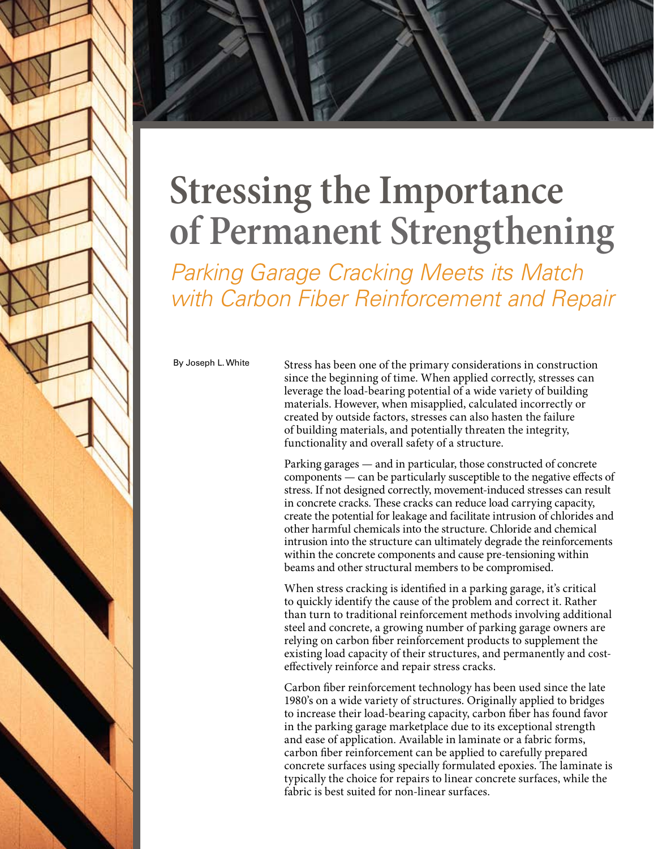



## **Stressing the Importance of Permanent Strengthening**

*Parking Garage Cracking Meets its Match with Carbon Fiber Reinforcement and Repair*

By Joseph L. White

Stress has been one of the primary considerations in construction since the beginning of time. When applied correctly, stresses can leverage the load-bearing potential of a wide variety of building materials. However, when misapplied, calculated incorrectly or created by outside factors, stresses can also hasten the failure of building materials, and potentially threaten the integrity, functionality and overall safety of a structure.

Parking garages — and in particular, those constructed of concrete components — can be particularly susceptible to the negative effects of stress. If not designed correctly, movement-induced stresses can result in concrete cracks. These cracks can reduce load carrying capacity, create the potential for leakage and facilitate intrusion of chlorides and other harmful chemicals into the structure. Chloride and chemical intrusion into the structure can ultimately degrade the reinforcements within the concrete components and cause pre-tensioning within beams and other structural members to be compromised.

When stress cracking is identified in a parking garage, it's critical to quickly identify the cause of the problem and correct it. Rather than turn to traditional reinforcement methods involving additional steel and concrete, a growing number of parking garage owners are relying on carbon fiber reinforcement products to supplement the existing load capacity of their structures, and permanently and costeffectively reinforce and repair stress cracks.

Carbon fiber reinforcement technology has been used since the late 1980's on a wide variety of structures. Originally applied to bridges to increase their load-bearing capacity, carbon fiber has found favor in the parking garage marketplace due to its exceptional strength and ease of application. Available in laminate or a fabric forms, carbon fiber reinforcement can be applied to carefully prepared concrete surfaces using specially formulated epoxies. The laminate is typically the choice for repairs to linear concrete surfaces, while the fabric is best suited for non-linear surfaces.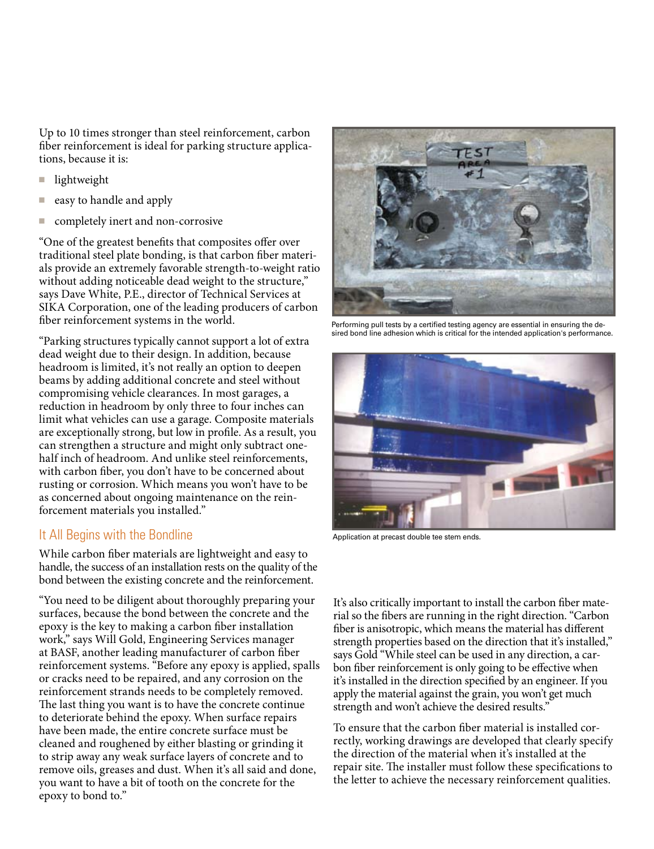Up to 10 times stronger than steel reinforcement, carbon fiber reinforcement is ideal for parking structure applications, because it is:

- lightweight
- easy to handle and apply
- completely inert and non-corrosive

"One of the greatest benefits that composites offer over traditional steel plate bonding, is that carbon fiber materials provide an extremely favorable strength-to-weight ratio without adding noticeable dead weight to the structure," says Dave White, P.E., director of Technical Services at SIKA Corporation, one of the leading producers of carbon fiber reinforcement systems in the world.

"Parking structures typically cannot support a lot of extra dead weight due to their design. In addition, because headroom is limited, it's not really an option to deepen beams by adding additional concrete and steel without compromising vehicle clearances. In most garages, a reduction in headroom by only three to four inches can limit what vehicles can use a garage. Composite materials are exceptionally strong, but low in profile. As a result, you can strengthen a structure and might only subtract onehalf inch of headroom. And unlike steel reinforcements, with carbon fiber, you don't have to be concerned about rusting or corrosion. Which means you won't have to be as concerned about ongoing maintenance on the reinforcement materials you installed."

## It All Begins with the Bondline

While carbon fiber materials are lightweight and easy to handle, the success of an installation rests on the quality of the bond between the existing concrete and the reinforcement.

"You need to be diligent about thoroughly preparing your surfaces, because the bond between the concrete and the epoxy is the key to making a carbon fiber installation work," says Will Gold, Engineering Services manager at BASF, another leading manufacturer of carbon fiber reinforcement systems. "Before any epoxy is applied, spalls or cracks need to be repaired, and any corrosion on the reinforcement strands needs to be completely removed. The last thing you want is to have the concrete continue to deteriorate behind the epoxy. When surface repairs have been made, the entire concrete surface must be cleaned and roughened by either blasting or grinding it to strip away any weak surface layers of concrete and to remove oils, greases and dust. When it's all said and done, you want to have a bit of tooth on the concrete for the epoxy to bond to."



Performing pull tests by a certified testing agency are essential in ensuring the desired bond line adhesion which is critical for the intended application's performance.



Application at precast double tee stem ends.

It's also critically important to install the carbon fiber material so the fibers are running in the right direction. "Carbon fiber is anisotropic, which means the material has different strength properties based on the direction that it's installed," says Gold "While steel can be used in any direction, a carbon fiber reinforcement is only going to be effective when it's installed in the direction specified by an engineer. If you apply the material against the grain, you won't get much strength and won't achieve the desired results."

To ensure that the carbon fiber material is installed correctly, working drawings are developed that clearly specify the direction of the material when it's installed at the repair site. The installer must follow these specifications to the letter to achieve the necessary reinforcement qualities.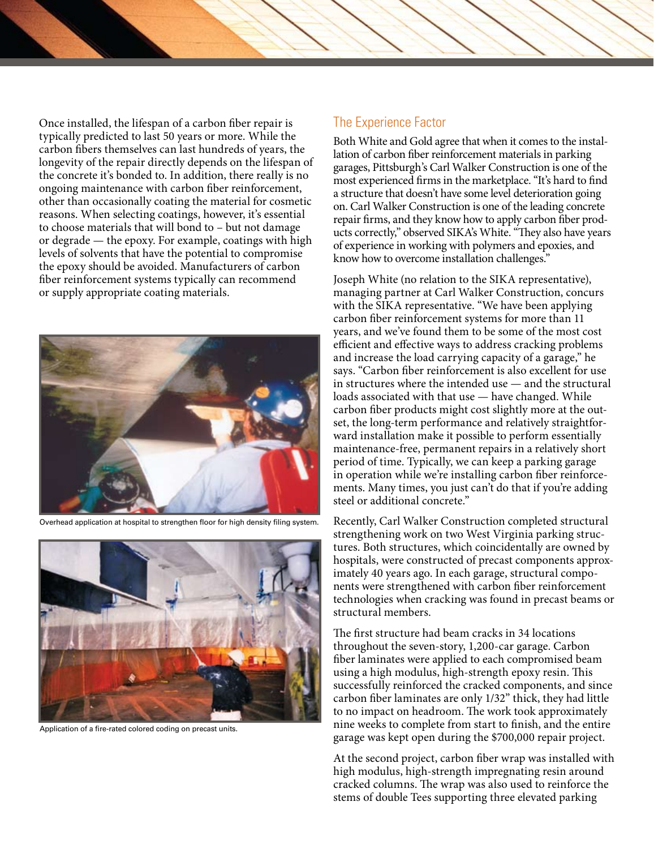Once installed, the lifespan of a carbon fiber repair is typically predicted to last 50 years or more. While the carbon fibers themselves can last hundreds of years, the longevity of the repair directly depends on the lifespan of the concrete it's bonded to. In addition, there really is no ongoing maintenance with carbon fiber reinforcement, other than occasionally coating the material for cosmetic reasons. When selecting coatings, however, it's essential to choose materials that will bond to – but not damage or degrade — the epoxy. For example, coatings with high levels of solvents that have the potential to compromise the epoxy should be avoided. Manufacturers of carbon fiber reinforcement systems typically can recommend or supply appropriate coating materials.



Overhead application at hospital to strengthen floor for high density filing system.



Application of a fire-rated colored coding on precast units.

## The Experience Factor

Both White and Gold agree that when it comes to the installation of carbon fiber reinforcement materials in parking garages, Pittsburgh's Carl Walker Construction is one of the most experienced firms in the marketplace. "It's hard to find a structure that doesn't have some level deterioration going on. Carl Walker Construction is one of the leading concrete repair firms, and they know how to apply carbon fiber products correctly," observed SIKA's White. "They also have years of experience in working with polymers and epoxies, and know how to overcome installation challenges."

Joseph White (no relation to the SIKA representative), managing partner at Carl Walker Construction, concurs with the SIKA representative. "We have been applying carbon fiber reinforcement systems for more than 11 years, and we've found them to be some of the most cost efficient and effective ways to address cracking problems and increase the load carrying capacity of a garage," he says. "Carbon fiber reinforcement is also excellent for use in structures where the intended use — and the structural loads associated with that use — have changed. While carbon fiber products might cost slightly more at the outset, the long-term performance and relatively straightforward installation make it possible to perform essentially maintenance-free, permanent repairs in a relatively short period of time. Typically, we can keep a parking garage in operation while we're installing carbon fiber reinforcements. Many times, you just can't do that if you're adding steel or additional concrete."

Recently, Carl Walker Construction completed structural strengthening work on two West Virginia parking structures. Both structures, which coincidentally are owned by hospitals, were constructed of precast components approximately 40 years ago. In each garage, structural components were strengthened with carbon fiber reinforcement technologies when cracking was found in precast beams or structural members.

The first structure had beam cracks in 34 locations throughout the seven-story, 1,200-car garage. Carbon fiber laminates were applied to each compromised beam using a high modulus, high-strength epoxy resin. This successfully reinforced the cracked components, and since carbon fiber laminates are only 1/32" thick, they had little to no impact on headroom. The work took approximately nine weeks to complete from start to finish, and the entire garage was kept open during the \$700,000 repair project.

At the second project, carbon fiber wrap was installed with high modulus, high-strength impregnating resin around cracked columns. The wrap was also used to reinforce the stems of double Tees supporting three elevated parking